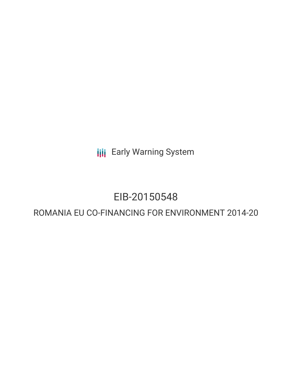**III** Early Warning System

## EIB-20150548

### ROMANIA EU CO-FINANCING FOR ENVIRONMENT 2014-20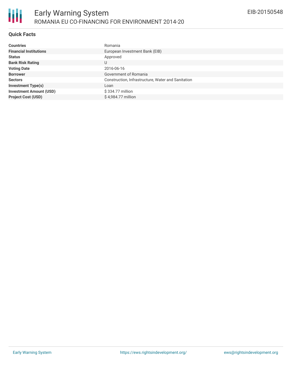

#### **Quick Facts**

| <b>Countries</b>               | Romania                                            |
|--------------------------------|----------------------------------------------------|
|                                |                                                    |
| <b>Financial Institutions</b>  | European Investment Bank (EIB)                     |
| <b>Status</b>                  | Approved                                           |
| <b>Bank Risk Rating</b>        | U                                                  |
| <b>Voting Date</b>             | 2016-06-16                                         |
| <b>Borrower</b>                | Government of Romania                              |
| <b>Sectors</b>                 | Construction, Infrastructure, Water and Sanitation |
| <b>Investment Type(s)</b>      | Loan                                               |
| <b>Investment Amount (USD)</b> | \$334.77 million                                   |
| <b>Project Cost (USD)</b>      | \$4,984.77 million                                 |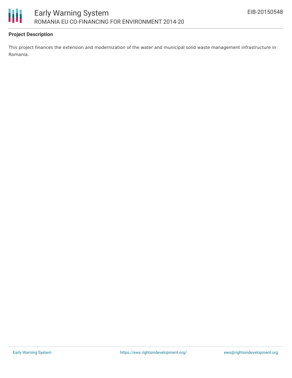

#### **Project Description**

This project finances the extension and modernization of the water and municipal solid waste management infrastructure in Romania.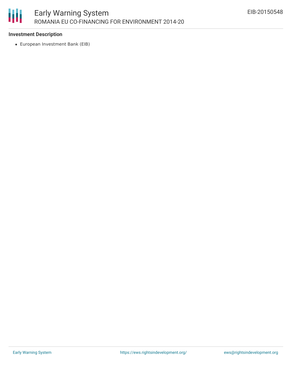

#### **Investment Description**

European Investment Bank (EIB)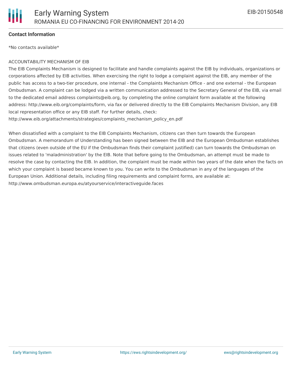

#### **Contact Information**

\*No contacts available\*

#### ACCOUNTABILITY MECHANISM OF EIB

The EIB Complaints Mechanism is designed to facilitate and handle complaints against the EIB by individuals, organizations or corporations affected by EIB activities. When exercising the right to lodge a complaint against the EIB, any member of the public has access to a two-tier procedure, one internal - the Complaints Mechanism Office - and one external - the European Ombudsman. A complaint can be lodged via a written communication addressed to the Secretary General of the EIB, via email to the dedicated email address complaints@eib.org, by completing the online complaint form available at the following address: http://www.eib.org/complaints/form, via fax or delivered directly to the EIB Complaints Mechanism Division, any EIB local representation office or any EIB staff. For further details, check:

http://www.eib.org/attachments/strategies/complaints\_mechanism\_policy\_en.pdf

When dissatisfied with a complaint to the EIB Complaints Mechanism, citizens can then turn towards the European Ombudsman. A memorandum of Understanding has been signed between the EIB and the European Ombudsman establishes that citizens (even outside of the EU if the Ombudsman finds their complaint justified) can turn towards the Ombudsman on issues related to 'maladministration' by the EIB. Note that before going to the Ombudsman, an attempt must be made to resolve the case by contacting the EIB. In addition, the complaint must be made within two years of the date when the facts on which your complaint is based became known to you. You can write to the Ombudsman in any of the languages of the European Union. Additional details, including filing requirements and complaint forms, are available at: http://www.ombudsman.europa.eu/atyourservice/interactiveguide.faces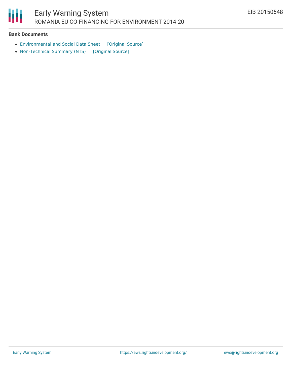

#### **Bank Documents**

- [Environmental](https://ewsdata.rightsindevelopment.org/files/documents/48/EIB-20150548_udwzGbk.pdf) and Social Data Sheet [\[Original](http://www.eib.org/infocentre/register/all/63421113.pdf) Source]
- [Non-Technical](https://ewsdata.rightsindevelopment.org/files/documents/48/EIB-20150548.pdf) Summary (NTS) [\[Original](http://www.eib.org/infocentre/register/all/61279548.pdf) Source]